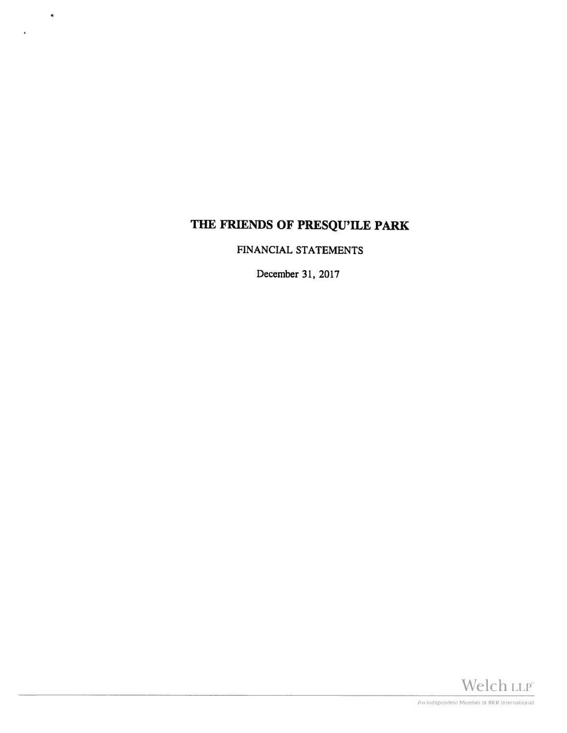$\mathbf{u}$ 

FINANCIAL STATEMENTS

December 31, 2017

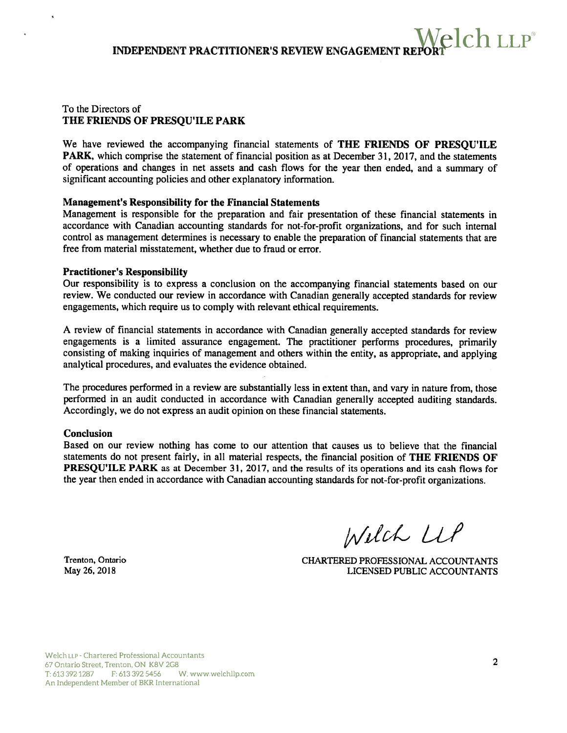#### To the Directors of THE FRIENDS OF PRESQU'ILE PARK

We have reviewed the accompanying financial statements of THE FRIENDS OF PRESQU'ILE PARK, which comprise the statement of financial position as at December 31, 2017, and the statements of operations and changes in net assets and cash flows for the year then ended, and <sup>a</sup> summary of significant accounting policies and other explanatory information.

#### Management's Responsibility for the Financial Statements

Management is responsible for the preparation and fair presentation of these financial statements in accordance with Canadian accounting standards for not-for-profit organizations, and for such internal control as managemen<sup>t</sup> determines is necessary to enable the preparation of financial statements that are free from material misstatement, whether due to fraud or error.

#### Practitioner's Responsibility

Our responsibility is to express <sup>a</sup> conclusion on the accompanying financial statements based on our review. We conducted our review in accordance with Canadian generally accepted standards for review engagements, which require us to comply with relevant ethical requirements.

<sup>A</sup> review of financial statements in accordance with Canadian generally accepted standards for review engagements is <sup>a</sup> limited assurance engagement. The practitioner performs procedures, primarily consisting of making inquiries of managemen<sup>t</sup> and others within the entity, as appropriate, and applying analytical procedures, and evaluates the evidence obtained.

The procedures performed in <sup>a</sup> review are substantially less in extent than, and vary in nature from, those performed in an audit conducted in accordance with Canadian generally accepted auditing standards. Accordingly, we do not express an audit opinion on these financial statements.

#### Conclusion

é

Based on our review nothing has come to our attention that causes us to believe that the financial statements do not presen<sup>t</sup> fairly, in all material respects, the financial position of THE FRIENDS OF PRESQU'ILE PARK as at December 31, 2017, and the results of its operations and its cash flows for the year then ended in accordance with Canadian accounting standards for not-for-profit organizations.

Welch LLP

Trenton, Ontario CHARTERED PROFESSIONAL ACCOUNTANTS May 26, 2018 LICENSED PUBLIC ACCOUNTANTS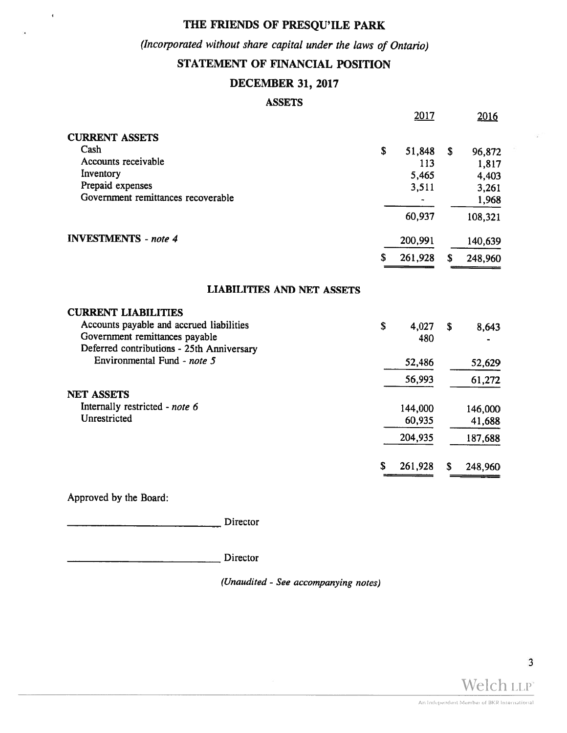## (Incorporated without share capital under the laws of Ontario)

## STATEMENT OF FINANCIAL POSITION

## DECEMBER 31, 2017

#### ASSETS

|                                           | <u> 2017</u>  |    | 2016    |
|-------------------------------------------|---------------|----|---------|
| <b>CURRENT ASSETS</b>                     |               |    |         |
| Cash                                      | \$<br>51,848  | \$ | 96,872  |
| Accounts receivable                       | 113           |    | 1,817   |
| Inventory                                 | 5,465         |    | 4,403   |
| Prepaid expenses                          | 3,511         |    | 3,261   |
| Government remittances recoverable        |               |    | 1,968   |
|                                           | 60,937        |    | 108,321 |
| <b>INVESTMENTS</b> - note 4               | 200,991       |    | 140,639 |
|                                           | \$<br>261,928 | S. | 248,960 |
| <b>LIABILITIES AND NET ASSETS</b>         |               |    |         |
| <b>CURRENT LIABILITIES</b>                |               |    |         |
| Accounts payable and accrued liabilities  | \$<br>4,027   | \$ | 8,643   |
| Government remittances payable            | 480           |    |         |
| Deferred contributions - 25th Anniversary |               |    |         |
| Environmental Fund - note 5               | 52,486        |    | 52,629  |
|                                           | 56,993        |    | 61,272  |
| <b>NET ASSETS</b>                         |               |    |         |
| Internally restricted - note 6            | 144,000       |    | 146,000 |
| Unrestricted                              | 60,935        |    | 41,688  |
|                                           | 204,935       |    | 187,688 |
|                                           | \$<br>261,928 | S  | 248,960 |
|                                           |               |    |         |

Approved by the Board:

 $\bar{\mathbf{r}}$ 

Director

Director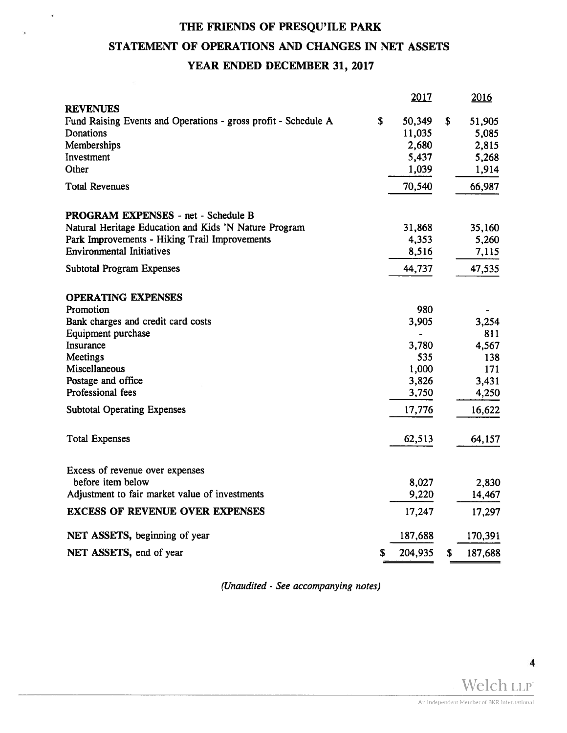$\chi$ 

## STATEMENT OF OPERATIONS AND CHANGES IN NET ASSETS

## YEAR ENDED DECEMBER 31, 2017

|                                                                | 2017          | 2016          |
|----------------------------------------------------------------|---------------|---------------|
| <b>REVENUES</b>                                                |               |               |
| Fund Raising Events and Operations - gross profit - Schedule A | \$<br>50,349  | \$<br>51,905  |
| Donations                                                      | 11,035        | 5,085         |
| Memberships                                                    | 2,680         | 2,815         |
| Investment                                                     | 5,437         | 5,268         |
| Other                                                          | 1,039         | 1,914         |
| <b>Total Revenues</b>                                          | 70,540        | 66,987        |
| PROGRAM EXPENSES - net - Schedule B                            |               |               |
| Natural Heritage Education and Kids 'N Nature Program          | 31,868        | 35,160        |
| Park Improvements - Hiking Trail Improvements                  | 4,353         | 5,260         |
| <b>Environmental Initiatives</b>                               | 8,516         | 7,115         |
| <b>Subtotal Program Expenses</b>                               | 44,737        | 47,535        |
| <b>OPERATING EXPENSES</b>                                      |               |               |
| Promotion                                                      | 980           |               |
| Bank charges and credit card costs                             | 3,905         | 3,254         |
| Equipment purchase                                             |               | 811           |
| Insurance                                                      | 3,780         | 4,567         |
| Meetings                                                       | 535           | 138           |
| Miscellaneous                                                  | 1,000         | 171           |
| Postage and office                                             | 3,826         | 3,431         |
| Professional fees                                              | 3,750         | 4,250         |
| <b>Subtotal Operating Expenses</b>                             | 17,776        | 16,622        |
| <b>Total Expenses</b>                                          | 62,513        | 64,157        |
|                                                                |               |               |
| Excess of revenue over expenses                                |               |               |
| before item below                                              | 8,027         | 2,830         |
| Adjustment to fair market value of investments                 | 9,220         | 14,467        |
| <b>EXCESS OF REVENUE OVER EXPENSES</b>                         | 17,247        | 17,297        |
| NET ASSETS, beginning of year                                  | 187,688       | 170,391       |
| NET ASSETS, end of year                                        | \$<br>204,935 | \$<br>187,688 |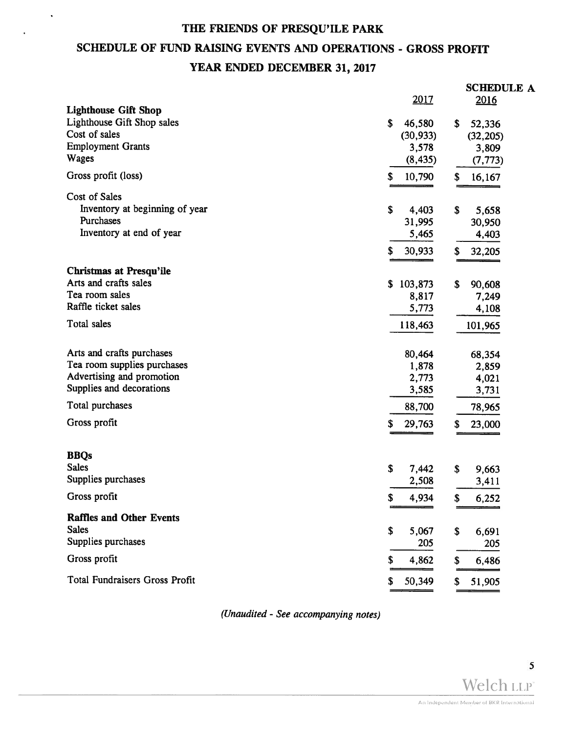$\ddot{\phantom{a}}$ 

## SCHEDULE OF FUND RAISING EVENTS AND OPERATIONS - GROSS PROFIT

## YEAR ENDED DECEMBER 31, 2017

|                                             |               | <b>SCHEDULE A</b> |
|---------------------------------------------|---------------|-------------------|
|                                             | 2017          | 2016              |
| <b>Lighthouse Gift Shop</b>                 |               |                   |
| Lighthouse Gift Shop sales<br>Cost of sales | \$<br>46,580  | \$<br>52,336      |
| <b>Employment Grants</b>                    | (30, 933)     | (32, 205)         |
| <b>Wages</b>                                | 3,578         | 3,809             |
|                                             | (8, 435)      | (7, 773)          |
| Gross profit (loss)                         | \$<br>10,790  | \$<br>16,167      |
| <b>Cost of Sales</b>                        |               |                   |
| Inventory at beginning of year              | \$<br>4,403   | \$<br>5,658       |
| Purchases                                   | 31,995        | 30,950            |
| Inventory at end of year                    | 5,465         | 4,403             |
|                                             | 30,933<br>\$  | \$<br>32,205      |
|                                             |               |                   |
| <b>Christmas at Presqu'ile</b>              |               |                   |
| Arts and crafts sales<br>Tea room sales     | \$<br>103,873 | \$<br>90,608      |
| Raffle ticket sales                         | 8,817         | 7,249             |
|                                             | 5,773         | 4,108             |
| Total sales                                 | 118,463       | 101,965           |
| Arts and crafts purchases                   | 80,464        | 68,354            |
| Tea room supplies purchases                 | 1,878         | 2,859             |
| Advertising and promotion                   | 2,773         | 4,021             |
| Supplies and decorations                    | 3,585         | 3,731             |
| Total purchases                             | 88,700        | 78,965            |
|                                             |               |                   |
| Gross profit                                | \$<br>29,763  | \$<br>23,000      |
| <b>BBQs</b>                                 |               |                   |
| <b>Sales</b>                                | \$<br>7,442   | \$<br>9,663       |
| Supplies purchases                          | 2,508         | 3,411             |
| Gross profit                                | S<br>4,934    | \$<br>6,252       |
|                                             |               |                   |
| <b>Raffles and Other Events</b>             |               |                   |
| <b>Sales</b>                                | \$<br>5,067   | \$<br>6,691       |
| Supplies purchases                          | 205           | 205               |
| Gross profit                                | S<br>4,862    | \$<br>6,486       |
| <b>Total Fundraisers Gross Profit</b>       | 50,349<br>S   | 51,905<br>\$      |
|                                             |               |                   |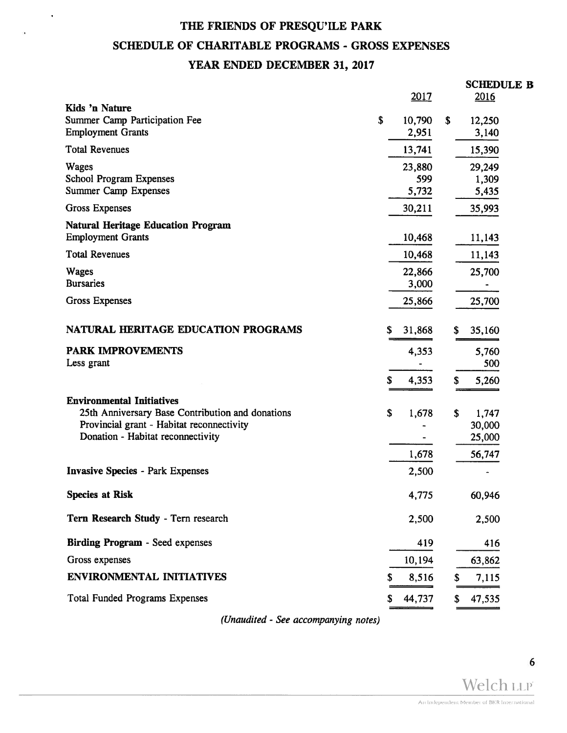$\epsilon$ 

## SCHEDULE OF CHARITABLE PROGRAMS - GROSS EXPENSES

### YEAR ENDED DECEMBER 31, 2017

| THE FRIENDS OF PRESQU'ILE PARK                                                                                                     |    |                        |    |                                           |
|------------------------------------------------------------------------------------------------------------------------------------|----|------------------------|----|-------------------------------------------|
| <b>SCHEDULE OF CHARITABLE PROGRAMS - GROSS EXPENSES</b>                                                                            |    |                        |    |                                           |
| YEAR ENDED DECEMBER 31, 2017                                                                                                       |    |                        |    |                                           |
|                                                                                                                                    |    | 2017                   |    | <b>SCHEDULE B</b><br>2016                 |
| Kids 'n Nature<br>Summer Camp Participation Fee<br><b>Employment Grants</b>                                                        | \$ | 10,790<br>2,951        | S. | 12,250<br>3,140                           |
| <b>Total Revenues</b>                                                                                                              |    | 13,741                 |    | 15,390                                    |
| Wages<br><b>School Program Expenses</b><br><b>Summer Camp Expenses</b>                                                             |    | 23,880<br>599<br>5,732 |    | 29,249<br>1,309<br>5,435                  |
| <b>Gross Expenses</b>                                                                                                              |    | 30,211                 |    | 35,993                                    |
| <b>Natural Heritage Education Program</b><br><b>Employment Grants</b>                                                              |    | 10,468                 |    | 11,143                                    |
| <b>Total Revenues</b>                                                                                                              |    | 10,468                 |    | 11,143                                    |
| <b>Wages</b><br><b>Bursaries</b>                                                                                                   |    | 22,866<br>3,000        |    | 25,700                                    |
| <b>Gross Expenses</b>                                                                                                              |    | 25,866                 |    | 25,700                                    |
| NATURAL HERITAGE EDUCATION PROGRAMS                                                                                                | S  | 31,868                 |    | 35,160<br>S                               |
| <b>PARK IMPROVEMENTS</b>                                                                                                           |    | 4,353                  |    | 5,760                                     |
| Less grant                                                                                                                         | S  | 4,353                  |    | 500<br>5,260<br>\$                        |
| <b>Environmental Initiatives</b>                                                                                                   |    |                        |    |                                           |
| 25th Anniversary Base Contribution and donations<br>Provincial grant - Habitat reconnectivity<br>Donation - Habitat reconnectivity | S. | 1,678<br>1,678         |    | S.<br>1,747<br>30,000<br>25,000<br>56,747 |
| <b>Invasive Species - Park Expenses</b>                                                                                            |    | 2,500                  |    |                                           |
| <b>Species at Risk</b>                                                                                                             |    | 4,775                  |    | 60,946                                    |
| Tern Research Study - Tern research                                                                                                |    | 2,500                  |    | 2,500                                     |
| <b>Birding Program - Seed expenses</b>                                                                                             |    | 419                    |    | 416                                       |
| Gross expenses                                                                                                                     |    | 10,194                 |    | 63,862                                    |
| <b>ENVIRONMENTAL INITIATIVES</b>                                                                                                   |    | 8,516                  |    | \$<br>7,115                               |
| <b>Total Funded Programs Expenses</b>                                                                                              |    | 44,737                 |    | \$<br>47,535                              |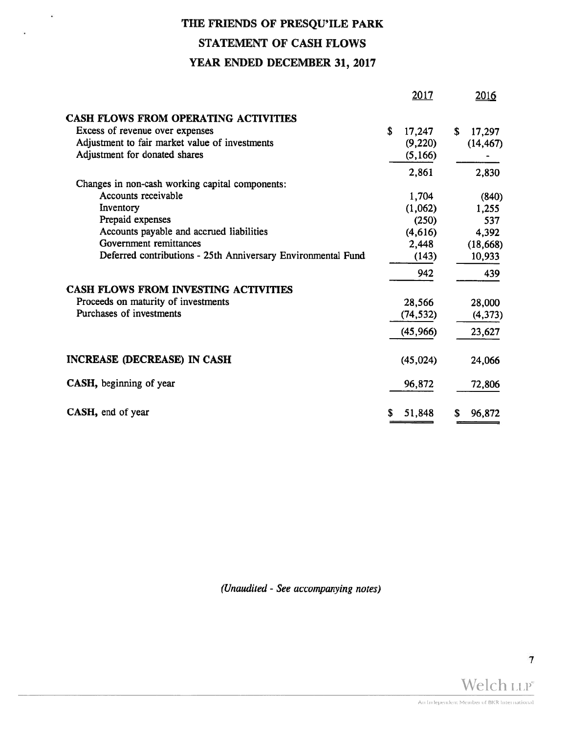## THE FRIENDS OF PRESQU'ILE PARK STATEMENT OF CASH FLOWS YEAR ENDED DECEMBER 31, 2017

 $\widetilde{\mathbf{E}}$ 

|                                                              | 2017         | 2016         |
|--------------------------------------------------------------|--------------|--------------|
| <b>CASH FLOWS FROM OPERATING ACTIVITIES</b>                  |              |              |
| Excess of revenue over expenses                              | S.<br>17,247 | \$<br>17,297 |
| Adjustment to fair market value of investments               | (9,220)      | (14, 467)    |
| Adjustment for donated shares                                | (5,166)      |              |
|                                                              | 2,861        | 2,830        |
| Changes in non-cash working capital components:              |              |              |
| Accounts receivable                                          | 1,704        | (840)        |
| Inventory                                                    | (1,062)      | 1,255        |
| Prepaid expenses                                             | (250)        | 537          |
| Accounts payable and accrued liabilities                     | (4,616)      | 4,392        |
| Government remittances                                       | 2,448        | (18, 668)    |
| Deferred contributions - 25th Anniversary Environmental Fund | (143)        | 10,933       |
|                                                              | 942          | 439          |
| <b>CASH FLOWS FROM INVESTING ACTIVITIES</b>                  |              |              |
| Proceeds on maturity of investments                          | 28,566       | 28,000       |
| Purchases of investments                                     | (74, 532)    | (4,373)      |
|                                                              | (45,966)     | 23,627       |
| <b>INCREASE (DECREASE) IN CASH</b>                           | (45, 024)    | 24,066       |
| CASH, beginning of year                                      | 96,872       | 72,806       |
| CASH, end of year                                            | 51,848<br>S  | \$<br>96,872 |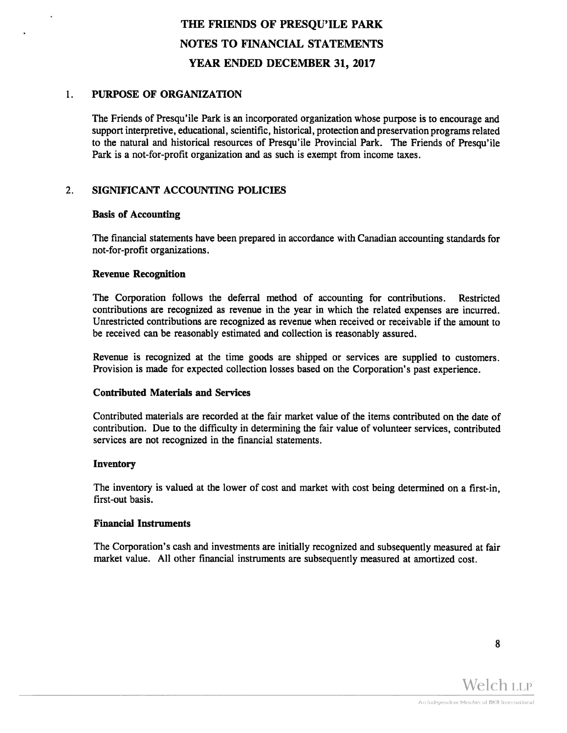#### $1<sub>1</sub>$ PURPOSE OF ORGANIZATION

The Friends of Presqu'ile Park is an incorporated organization whose purpose is to encourage and suppor<sup>t</sup> interpretive, educational, scientific, historical, protection and preservation programs related to the natural and historical resources of Presqu'ile Provincial Park. The Friends of Presqu'ile Park is <sup>a</sup> not-for-profit organization and as such is exemp<sup>t</sup> from income taxes.

### 2. SIGNIFICANT ACCOUNTING POLICIES

#### Basis of Accounting

The financial statements have been prepared in accordance with Canadian accounting standards for not-for-profit organizations.

#### Revenue Recognition

The Corporation follows the deferral method of accounting for contributions. Restricted contributions are recognized as revenue in the year in which the related expenses are incurred. Unrestricted contributions are recognized as revenue when received or receivable if the amount to be received can be reasonably estimated and collection is reasonably assured.

Revenue is recognized at the time goods are shipped or services are supplied to customers. Provision is made for expected collection losses based on the Corporation's pas<sup>t</sup> experience.

#### Contributed Materials and Services

Contributed materials are recorded at the fair market value of the items contributed on the date of contribution. Due to the difficulty in determining the fair value of volunteer services, contributed services are not recognized in the financial statements.

#### Inventory

The inventory is valued at the lower of cost and market with cost being determined on <sup>a</sup> first-in, first-out basis.

#### Financial Instruments

The Corporation's cash and investments are initially recognized and subsequently measured at fair market value. All other financial instruments are subsequently measured at amortized cost.

8

Welch LLP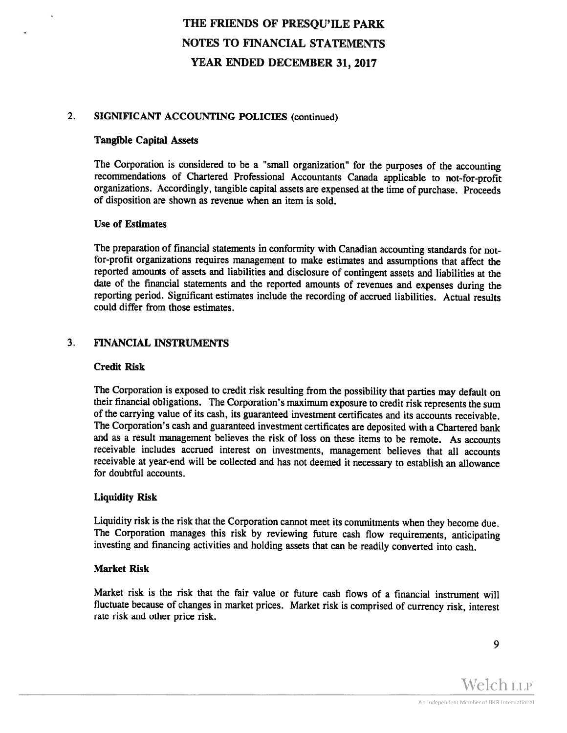#### 2. SIGNIFICANT ACCOUNTING POLICIES (continued)

#### Tangible Capital Assets

The Corporation is considered to be <sup>a</sup> "small organization" for the purposes of the accounting recommendations of Chartered Professional Accountants Canada applicable to not—for-profit organizations. Accordingly, tangible capital assets are expensed at the time of purchase. Proceeds of disposition are shown as revenue when an item is sold.

#### Use of Estimates

The preparation of financial statements in conformity with Canadian accounting standards for notfor-profit organizations requires management to make estimates and assumptions that affect the reported amounts of assets and liabilities and disclosure of contingent assets and liabilities at the date of the financial statements and the reported amounts of revenues and expenses during the reporting period. Significant estimates include the recording of accrued liabilities. Actual results could differ from those estimates.

#### 3. FINANCIAL INSTRUMENTS

#### Credit Risk

The Corporation is exposed to credit risk resulting from the possibility that parties may default on their financial obligations. The Corporation's maximum exposure to credit risk represents the sum of the carrying value of its cash, its guaranteed investment certificates and its accounts receivable. The Corporation's cash and guaranteed investment certificates are deposited with <sup>a</sup> Chartered bank and as <sup>a</sup> result management believes the risk of loss on these items to be remote. As accounts receivable includes accrued interest on investments, management believes that all accounts receivable at year-end will be collected and has not deemed it necessary to establish an allowance for doubtful accounts.

#### Liquidity Risk

Liquidity risk is the risk that the Corporation cannot meet its commitments when they become due.<br>The Corporation manages this risk by reviewing future cash flow requirements, anticipating investing and financing activities and holding assets that can be readily converted into cash.

#### Market Risk

Market risk is the risk that the fair value or future cash flows of <sup>a</sup> financial instrument will fluctuate because of changes in market prices. Market risk is comprised of currency risk, interest rate risk and other price risk.

9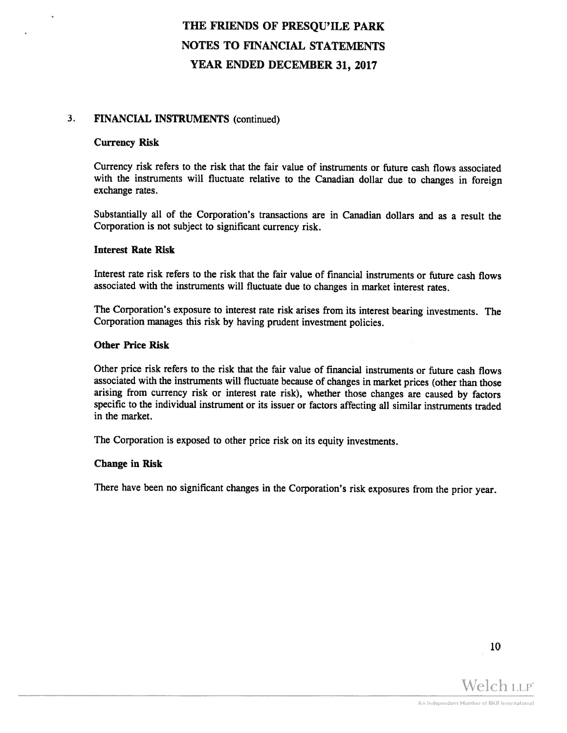#### 3. FINANCIAL INSTRUMENTS (continued)

#### Currency Risk

Currency risk refers to the risk that the fair value of instruments or future cash flows associated with the instruments will fluctuate relative to the Canadian dollar due to changes in foreign exchange rates.

Substantially all of the Corporation's transactions are in Canadian dollars and as <sup>a</sup> result the Corporation is not subject to significant currency risk.

#### Interest Rate Risk

Interest rate risk refers to the risk that the fair value of financial instruments or future cash flows associated with the instruments will fluctuate due to changes in market interest rates.

The Corporation's exposure to interest rate risk arises from its interest bearing investments. The Corporation manages this risk by having prudent investment policies.

#### Other Price Risk

Other price risk refers to the risk that the fair value of financial instruments or future cash flows associated with the instruments will fluctuate because of changes in market prices (other than those arising from currency risk or interest rate risk), whether those changes are caused by factors specific to the individual instrument or its issuer or factors affecting all similar instruments traded in the market.

The Corporation is exposed to other price risk on its equity investments.

#### Change in Risk

There have been no significant changes in the Corporation's risk exposures from the prior year.

10

Welch LLP<sup>®</sup>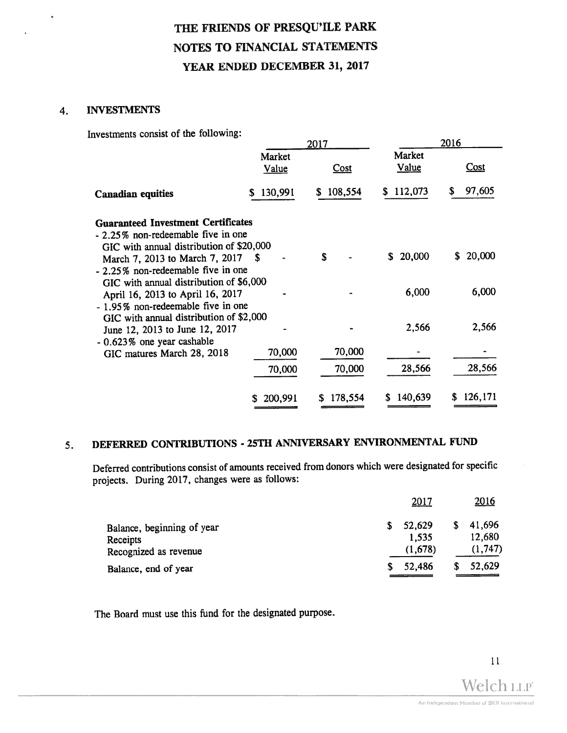#### 4. INVESTMENTS

¥

Investments consist of the following:

|                                                                                                                             | 2017            |              |                        | 2016          |
|-----------------------------------------------------------------------------------------------------------------------------|-----------------|--------------|------------------------|---------------|
|                                                                                                                             | Market<br>Value | Cost         | Market<br><b>Value</b> | Cost          |
| <b>Canadian equities</b>                                                                                                    | 130,991<br>S.   | 108,554<br>S | 112,073<br>S.          | 97,605<br>S   |
| <b>Guaranteed Investment Certificates</b><br>- 2.25% non-redeemable five in one<br>GIC with annual distribution of \$20,000 |                 |              |                        |               |
| March 7, 2013 to March 7, 2017<br>- 2.25% non-redeemable five in one<br>GIC with annual distribution of \$6,000             | <b>S</b>        | S            | 20,000<br>S.           | 20,000<br>S.  |
| April 16, 2013 to April 16, 2017<br>- 1.95% non-redeemable five in one<br>GIC with annual distribution of \$2,000           |                 |              | 6,000                  | 6,000         |
| June 12, 2013 to June 12, 2017<br>$-0.623\%$ one year cashable                                                              |                 |              | 2,566                  | 2,566         |
| GIC matures March 28, 2018                                                                                                  | 70,000          | 70,000       |                        |               |
|                                                                                                                             | 70,000          | 70,000       | 28,566                 | 28,566        |
|                                                                                                                             | 200,991<br>S.   | 178,554      | 140,639                | 126,171<br>S. |

## 5. DEFERRED CONTRIBUTIONS - 25TH ANNIVERSARY ENVIRONMENTAL FUND

Deferred contributions consist of amounts received from donors which were designated for specific projects. During 2017, changes were as follows:

| Balance, end of year       |    | 52,486      | 52,629       |
|----------------------------|----|-------------|--------------|
| Recognized as revenue      |    | (1,678)     | (1, 747)     |
| Receipts                   |    | 1,535       | 12,680       |
| Balance, beginning of year | S. | 52,629      | \$<br>41,696 |
|                            |    | <u>2017</u> | 2016         |

The Board must use this fund for the designated purpose.